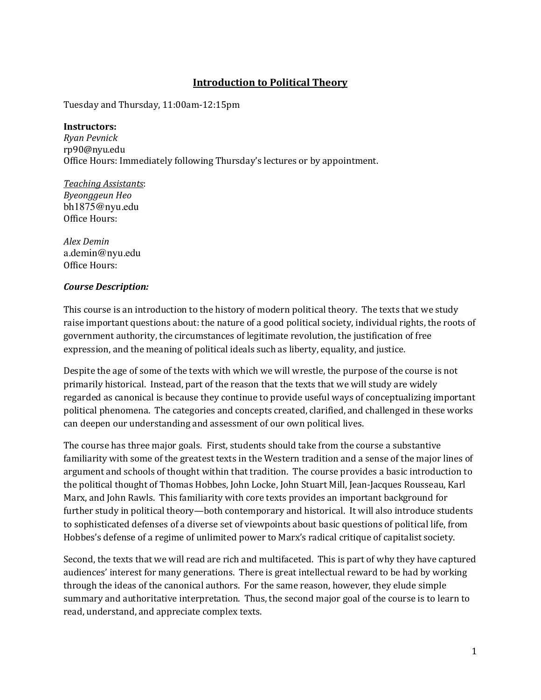# **Introduction to Political Theory**

Tuesday and Thursday, 11:00am-12:15pm

#### **Instructors:**

*Ryan Pevnick*  rp90@nyu.edu Office Hours: Immediately following Thursday's lectures or by appointment.

*Teaching Assistants*: *Byeonggeun Heo* bh1875@nyu.edu Office Hours:

*Alex Demin* a.demin@nyu.edu Office Hours:

### *Course Description:*

This course is an introduction to the history of modern political theory. The texts that we study raise important questions about: the nature of a good political society, individual rights, the roots of government authority, the circumstances of legitimate revolution, the justification of free expression, and the meaning of political ideals such as liberty, equality, and justice.

Despite the age of some of the texts with which we will wrestle, the purpose of the course is not primarily historical. Instead, part of the reason that the texts that we will study are widely regarded as canonical is because they continue to provide useful ways of conceptualizing important political phenomena. The categories and concepts created, clarified, and challenged in these works can deepen our understanding and assessment of our own political lives.

The course has three major goals. First, students should take from the course a substantive familiarity with some of the greatest texts in the Western tradition and a sense of the major lines of argument and schools of thought within that tradition. The course provides a basic introduction to the political thought of Thomas Hobbes, John Locke, John Stuart Mill, Jean-Jacques Rousseau, Karl Marx, and John Rawls. This familiarity with core texts provides an important background for further study in political theory—both contemporary and historical. It will also introduce students to sophisticated defenses of a diverse set of viewpoints about basic questions of political life, from Hobbes's defense of a regime of unlimited power to Marx's radical critique of capitalist society.

Second, the texts that we will read are rich and multifaceted. This is part of why they have captured audiences' interest for many generations. There is great intellectual reward to be had by working through the ideas of the canonical authors. For the same reason, however, they elude simple summary and authoritative interpretation. Thus, the second major goal of the course is to learn to read, understand, and appreciate complex texts.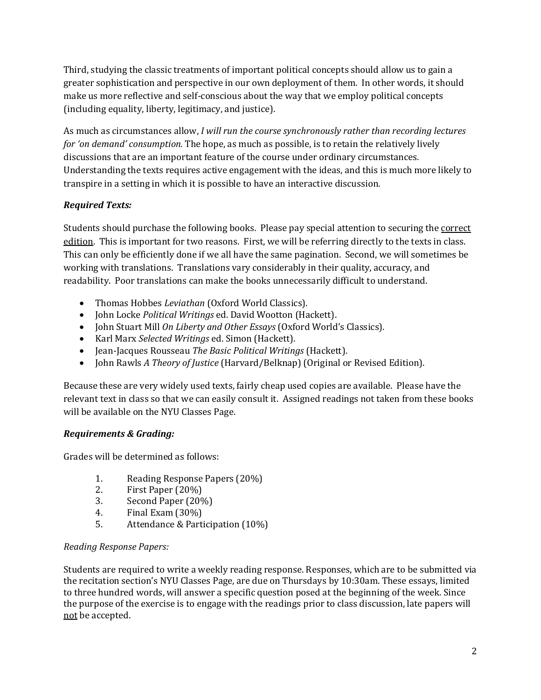Third, studying the classic treatments of important political concepts should allow us to gain a greater sophistication and perspective in our own deployment of them. In other words, it should make us more reflective and self-conscious about the way that we employ political concepts (including equality, liberty, legitimacy, and justice).

As much as circumstances allow, *I will run the course synchronously rather than recording lectures for 'on demand' consumption.* The hope, as much as possible, is to retain the relatively lively discussions that are an important feature of the course under ordinary circumstances. Understanding the texts requires active engagement with the ideas, and this is much more likely to transpire in a setting in which it is possible to have an interactive discussion.

## *Required Texts:*

Students should purchase the following books. Please pay special attention to securing the correct edition. This is important for two reasons. First, we will be referring directly to the texts in class. This can only be efficiently done if we all have the same pagination. Second, we will sometimes be working with translations. Translations vary considerably in their quality, accuracy, and readability. Poor translations can make the books unnecessarily difficult to understand.

- Thomas Hobbes *Leviathan* (Oxford World Classics).
- John Locke *Political Writings* ed. David Wootton (Hackett).
- John Stuart Mill On Liberty and Other Essays (Oxford World's Classics).
- Karl Marx *Selected Writings* ed. Simon (Hackett).
- Jean-Jacques Rousseau *The Basic Political Writings* (Hackett).
- John Rawls *A Theory of Justice* (Harvard/Belknap) (Original or Revised Edition).

Because these are very widely used texts, fairly cheap used copies are available. Please have the relevant text in class so that we can easily consult it. Assigned readings not taken from these books will be available on the NYU Classes Page.

## *Requirements & Grading:*

Grades will be determined as follows:

- 1. Reading Response Papers (20%)
- 2. First Paper  $(20\%)$
- 3. Second Paper (20%)
- 4. Final Exam  $(30\%)$
- 5. Attendance & Participation (10%)

## *Reading Response Papers:*

Students are required to write a weekly reading response. Responses, which are to be submitted via the recitation section's NYU Classes Page, are due on Thursdays by 10:30am. These essays, limited to three hundred words, will answer a specific question posed at the beginning of the week. Since the purpose of the exercise is to engage with the readings prior to class discussion, late papers will not be accepted.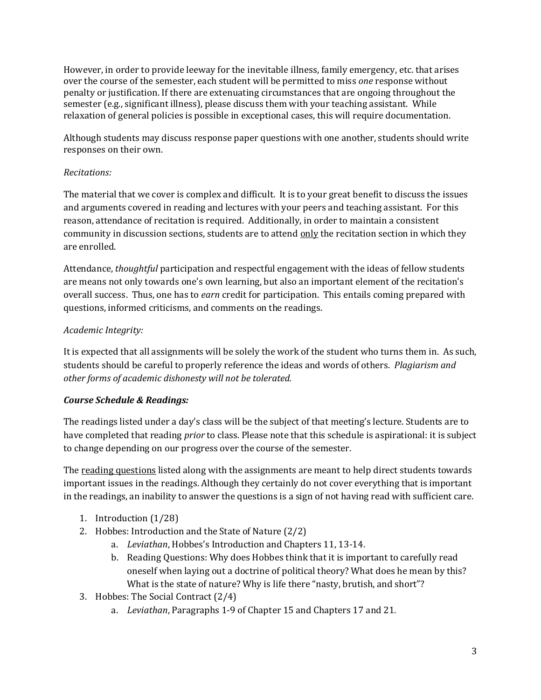However, in order to provide leeway for the inevitable illness, family emergency, etc. that arises over the course of the semester, each student will be permitted to miss *one* response without penalty or justification. If there are extenuating circumstances that are ongoing throughout the semester (e.g., significant illness), please discuss them with your teaching assistant. While relaxation of general policies is possible in exceptional cases, this will require documentation.

Although students may discuss response paper questions with one another, students should write responses on their own.

### *Recitations:*

The material that we cover is complex and difficult. It is to your great benefit to discuss the issues and arguments covered in reading and lectures with your peers and teaching assistant. For this reason, attendance of recitation is required. Additionally, in order to maintain a consistent community in discussion sections, students are to attend only the recitation section in which they are enrolled.

Attendance, *thoughtful* participation and respectful engagement with the ideas of fellow students are means not only towards one's own learning, but also an important element of the recitation's overall success. Thus, one has to *earn* credit for participation. This entails coming prepared with questions, informed criticisms, and comments on the readings.

### *Academic Integrity:*

It is expected that all assignments will be solely the work of the student who turns them in. As such, students should be careful to properly reference the ideas and words of others. *Plagiarism and other forms of academic dishonesty will not be tolerated.* 

### *Course Schedule & Readings:*

The readings listed under a day's class will be the subject of that meeting's lecture. Students are to have completed that reading *prior* to class. Please note that this schedule is aspirational: it is subject to change depending on our progress over the course of the semester.

The reading questions listed along with the assignments are meant to help direct students towards important issues in the readings. Although they certainly do not cover everything that is important in the readings, an inability to answer the questions is a sign of not having read with sufficient care.

- 1. Introduction (1/28)
- 2. Hobbes: Introduction and the State of Nature  $(2/2)$ 
	- a. Leviathan, Hobbes's Introduction and Chapters 11, 13-14.
	- b. Reading Questions: Why does Hobbes think that it is important to carefully read oneself when laying out a doctrine of political theory? What does he mean by this? What is the state of nature? Why is life there "nasty, brutish, and short"?
- 3. Hobbes: The Social Contract  $(2/4)$ 
	- a. Leviathan, Paragraphs 1-9 of Chapter 15 and Chapters 17 and 21.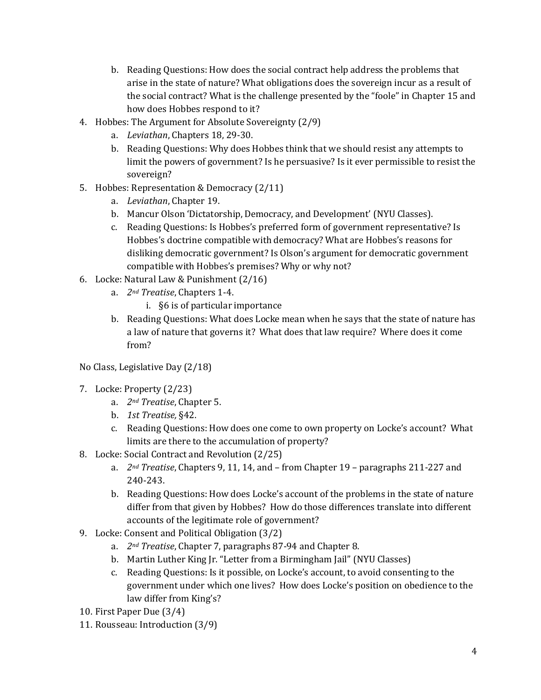- b. Reading Questions: How does the social contract help address the problems that arise in the state of nature? What obligations does the sovereign incur as a result of the social contract? What is the challenge presented by the "foole" in Chapter 15 and how does Hobbes respond to it?
- 4. Hobbes: The Argument for Absolute Sovereignty (2/9)
	- a. Leviathan, Chapters 18, 29-30.
	- b. Reading Questions: Why does Hobbes think that we should resist any attempts to limit the powers of government? Is he persuasive? Is it ever permissible to resist the sovereign?
- 5. Hobbes: Representation & Democracy  $(2/11)$ 
	- a. Leviathan, Chapter 19.
	- b. Mancur Olson 'Dictatorship, Democracy, and Development' (NYU Classes).
	- c. Reading Questions: Is Hobbes's preferred form of government representative? Is Hobbes's doctrine compatible with democracy? What are Hobbes's reasons for disliking democratic government? Is Olson's argument for democratic government compatible with Hobbes's premises? Why or why not?
- 6. Locke: Natural Law & Punishment  $(2/16)$ 
	- a. 2<sup>nd</sup> Treatise, Chapters 1-4.
		- i. §6 is of particular importance
	- b. Reading Questions: What does Locke mean when he says that the state of nature has a law of nature that governs it? What does that law require? Where does it come from?
- No Class, Legislative Day (2/18)
- 7. Locke: Property (2/23)
	- a. 2<sup>nd</sup> Treatise, Chapter 5.
	- b. 1st Treatise, §42.
	- c. Reading Questions: How does one come to own property on Locke's account? What limits are there to the accumulation of property?
- 8. Locke: Social Contract and Revolution (2/25)
	- a. 2<sup>nd</sup> *Treatise*, Chapters 9, 11, 14, and from Chapter 19 paragraphs 211-227 and 240-243.
	- b. Reading Questions: How does Locke's account of the problems in the state of nature differ from that given by Hobbes? How do those differences translate into different accounts of the legitimate role of government?
- 9. Locke: Consent and Political Obligation (3/2)
	- a. 2<sup>nd</sup> Treatise, Chapter 7, paragraphs 87-94 and Chapter 8.
	- b. Martin Luther King Jr. "Letter from a Birmingham Jail" (NYU Classes)
	- c. Reading Questions: Is it possible, on Locke's account, to avoid consenting to the government under which one lives? How does Locke's position on obedience to the law differ from King's?
- 10. First Paper Due (3/4)
- 11. Rousseau: Introduction (3/9)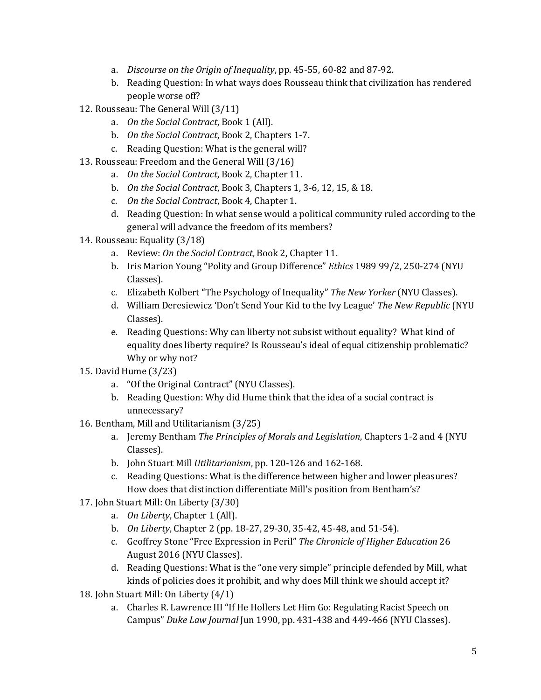- a. *Discourse on the Origin of Inequality*, pp. 45-55, 60-82 and 87-92.
- b. Reading Question: In what ways does Rousseau think that civilization has rendered people worse off?
- 12. Rousseau: The General Will (3/11)
	- a. *On the Social Contract*, Book 1 (All).
	- b. On the Social Contract, Book 2, Chapters 1-7.
	- c. Reading Question: What is the general will?
- 13. Rousseau: Freedom and the General Will (3/16)
	- a. On the Social Contract, Book 2, Chapter 11.
	- b. *On the Social Contract*, Book 3, Chapters 1, 3-6, 12, 15, & 18.
	- c. On the Social Contract, Book 4, Chapter 1.
	- d. Reading Question: In what sense would a political community ruled according to the general will advance the freedom of its members?
- 14. Rousseau: Equality (3/18)
	- a. Review: On the Social Contract, Book 2, Chapter 11.
	- b. Iris Marion Young "Polity and Group Difference" *Ethics* 1989 99/2, 250-274 (NYU Classes).
	- c. Elizabeth Kolbert "The Psychology of Inequality" *The New Yorker* (NYU Classes).
	- d. William Deresiewicz 'Don't Send Your Kid to the Ivy League' *The New Republic* (NYU) Classes).
	- e. Reading Questions: Why can liberty not subsist without equality? What kind of equality does liberty require? Is Rousseau's ideal of equal citizenship problematic? Why or why not?
- 15. David Hume (3/23)
	- a. "Of the Original Contract" (NYU Classes).
	- b. Reading Question: Why did Hume think that the idea of a social contract is unnecessary?
- 16. Bentham, Mill and Utilitarianism (3/25)
	- a. Jeremy Bentham *The Principles of Morals and Legislation*, Chapters 1-2 and 4 (NYU Classes).
	- b. John Stuart Mill *Utilitarianism*, pp. 120-126 and 162-168.
	- c. Reading Questions: What is the difference between higher and lower pleasures? How does that distinction differentiate Mill's position from Bentham's?
- 17. John Stuart Mill: On Liberty (3/30)
	- a. *On Liberty*, Chapter 1 (All).
	- b. *On Liberty*, Chapter 2 (pp. 18-27, 29-30, 35-42, 45-48, and 51-54).
	- c. Geoffrey Stone "Free Expression in Peril" *The Chronicle of Higher Education* 26 August 2016 (NYU Classes).
	- d. Reading Questions: What is the "one very simple" principle defended by Mill, what kinds of policies does it prohibit, and why does Mill think we should accept it?
- 18. John Stuart Mill: On Liberty  $(4/1)$ 
	- a. Charles R. Lawrence III "If He Hollers Let Him Go: Regulating Racist Speech on Campus" Duke Law Journal Jun 1990, pp. 431-438 and 449-466 (NYU Classes).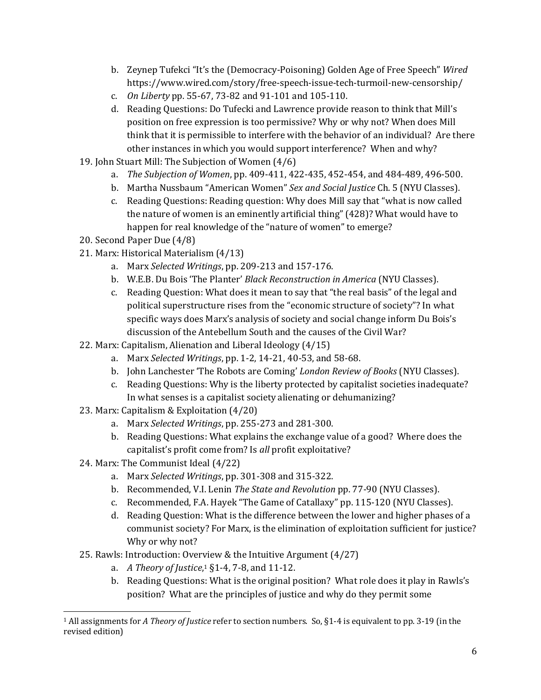- b. Zeynep Tufekci "It's the (Democracy-Poisoning) Golden Age of Free Speech" *Wired* https://www.wired.com/story/free-speech-issue-tech-turmoil-new-censorship/
- c. *On Liberty* pp. 55-67, 73-82 and 91-101 and 105-110.
- d. Reading Questions: Do Tufecki and Lawrence provide reason to think that Mill's position on free expression is too permissive? Why or why not? When does Mill think that it is permissible to interfere with the behavior of an individual? Are there other instances in which you would support interference? When and why?
- 19. John Stuart Mill: The Subjection of Women  $(4/6)$ 
	- a. The Subjection of Women, pp. 409-411, 422-435, 452-454, and 484-489, 496-500.
	- b. Martha Nussbaum "American Women" Sex and Social Justice Ch. 5 (NYU Classes).
	- c. Reading Questions: Reading question: Why does Mill say that "what is now called the nature of women is an eminently artificial thing" (428)? What would have to happen for real knowledge of the "nature of women" to emerge?
- 20. Second Paper Due (4/8)
- 21. Marx: Historical Materialism (4/13)
	- a. Marx *Selected Writings*, pp. 209-213 and 157-176.
	- b. W.E.B. Du Bois 'The Planter' *Black Reconstruction in America* (NYU Classes).
	- c. Reading Question: What does it mean to say that "the real basis" of the legal and political superstructure rises from the "economic structure of society"? In what specific ways does Marx's analysis of society and social change inform Du Bois's discussion of the Antebellum South and the causes of the Civil War?
- 22. Marx: Capitalism, Alienation and Liberal Ideology  $(4/15)$ 
	- a. Marx *Selected Writings*, pp. 1-2, 14-21, 40-53, and 58-68.
	- b. John Lanchester 'The Robots are Coming' *London Review of Books* (NYU Classes).
	- c. Reading Questions: Why is the liberty protected by capitalist societies inadequate? In what senses is a capitalist society alienating or dehumanizing?
- 23. Marx: Capitalism & Exploitation  $(4/20)$ 
	- a. Marx *Selected Writings*, pp. 255-273 and 281-300.
	- b. Reading Questions: What explains the exchange value of a good? Where does the capitalist's profit come from? Is all profit exploitative?
- 24. Marx: The Communist Ideal (4/22)
	- a. Marx *Selected Writings*, pp. 301-308 and 315-322.
	- b. Recommended, V.I. Lenin *The State and Revolution* pp. 77-90 (NYU Classes).
	- c. Recommended, F.A. Hayek "The Game of Catallaxy" pp. 115-120 (NYU Classes).
	- d. Reading Question: What is the difference between the lower and higher phases of a communist society? For Marx, is the elimination of exploitation sufficient for justice? Why or why not?
- 25. Rawls: Introduction: Overview & the Intuitive Argument  $(4/27)$ 
	- a. A Theory of Justice,<sup>1</sup> §1-4, 7-8, and 11-12.
	- b. Reading Questions: What is the original position? What role does it play in Rawls's position? What are the principles of justice and why do they permit some

<sup>&</sup>lt;u> 1989 - Johann Stein, marwolaethau a bh</u>  $1$  All assignments for *A Theory of Justice* refer to section numbers. So, §1-4 is equivalent to pp. 3-19 (in the revised edition)